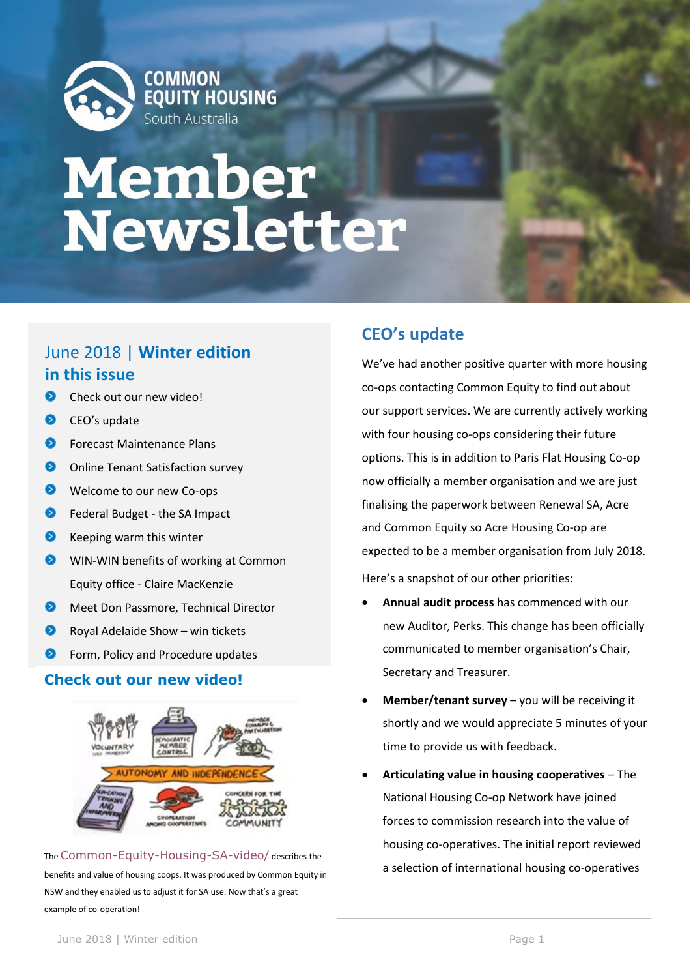

# **Member<br>Newsletter**

# June 2018 | **Winter edition in this issue**

- െ Check out our new video!
- $\bullet$ CEO's update
- $\bullet$ Forecast Maintenance Plans
- $\bullet$ Online Tenant Satisfaction survey
- $\bullet$ Welcome to our new Co-ops
- $\bullet$ Federal Budget - the SA Impact
- ◙ Keeping warm this winter
- WIN-WIN benefits of working at Common Equity office - Claire MacKenzie
- $\bullet$ Meet Don Passmore, Technical Director
- ◉ Royal Adelaide Show – win tickets
- $\bullet$ Form, Policy and Procedure updates

## **Check out our new video!**



The [Common-Equity-Housing-SA-video/](http://www.cehsa.com.au/common-equity-housing-sa-video/) describes the benefits and value of housing coops. It was produced by Common Equity in NSW and they enabled us to adjust it for SA use. Now that's a great example of co-operation!

# **CEO's update**

We've had another positive quarter with more housing co-ops contacting Common Equity to find out about our support services. We are currently actively working with four housing co-ops considering their future options. This is in addition to Paris Flat Housing Co-op now officially a member organisation and we are just finalising the paperwork between Renewal SA, Acre and Common Equity so Acre Housing Co-op are expected to be a member organisation from July 2018. Here's a snapshot of our other priorities:

- **Annual audit process** has commenced with our new Auditor, Perks. This change has been officially communicated to member organisation's Chair, Secretary and Treasurer.
- **Member/tenant survey**  you will be receiving it shortly and we would appreciate 5 minutes of your time to provide us with feedback.
- **Articulating value in housing cooperatives** The National Housing Co-op Network have joined forces to commission research into the value of housing co-operatives. The initial report reviewed a selection of international housing co-operatives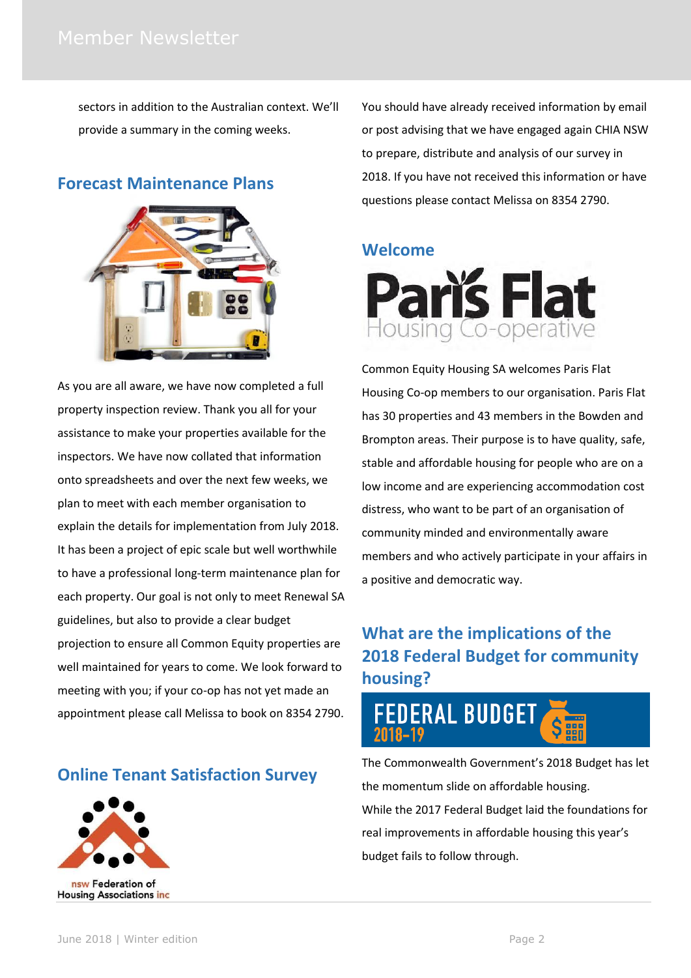sectors in addition to the Australian context. We'll provide a summary in the coming weeks.

## **Forecast Maintenance Plans**



As you are all aware, we have now completed a full property inspection review. Thank you all for your assistance to make your properties available for the inspectors. We have now collated that information onto spreadsheets and over the next few weeks, we plan to meet with each member organisation to explain the details for implementation from July 2018. It has been a project of epic scale but well worthwhile to have a professional long-term maintenance plan for each property. Our goal is not only to meet Renewal SA guidelines, but also to provide a clear budget projection to ensure all Common Equity properties are well maintained for years to come. We look forward to meeting with you; if your co-op has not yet made an appointment please call Melissa to book on 8354 2790.

**Online Tenant Satisfaction Survey**



You should have already received information by email or post advising that we have engaged again CHIA NSW to prepare, distribute and analysis of our survey in 2018. If you have not received this information or have questions please contact Melissa on 8354 2790.

## **Welcome**



Common Equity Housing SA welcomes Paris Flat Housing Co-op members to our organisation. Paris Flat has 30 properties and 43 members in the Bowden and Brompton areas. Their purpose is to have quality, safe, stable and affordable housing for people who are on a low income and are experiencing accommodation cost distress, who want to be part of an organisation of community minded and environmentally aware members and who actively participate in your affairs in a positive and democratic way.

# **What are the implications of the 2018 Federal Budget for community housing?**



The Commonwealth Government's 2018 Budget has let the momentum slide on affordable housing. While the 2017 Federal Budget laid the foundations for real improvements in affordable housing this year's budget fails to follow through.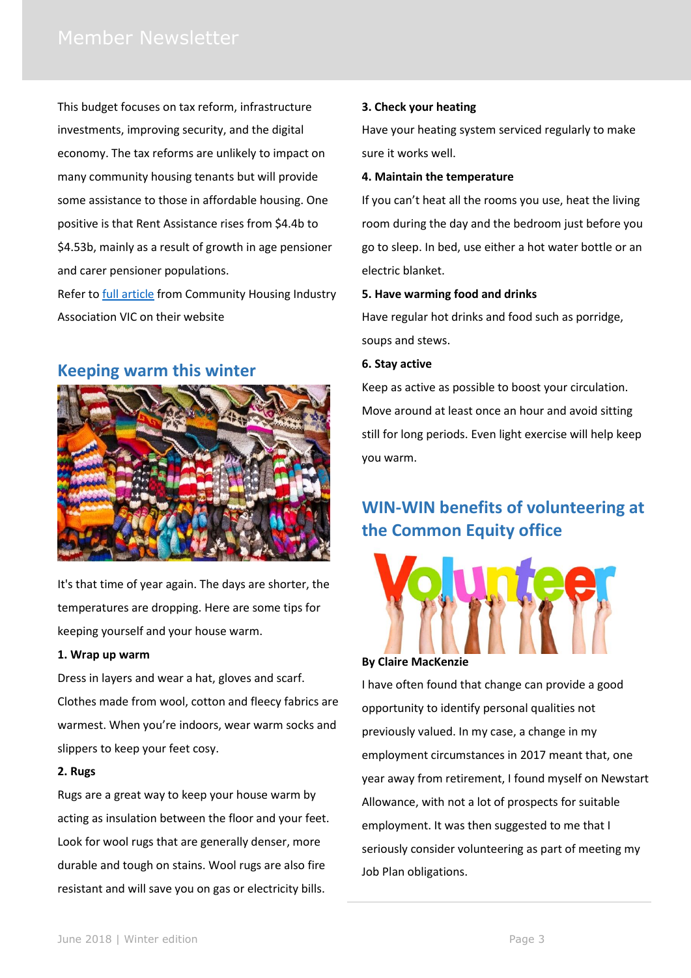This budget focuses on tax reform, infrastructure investments, improving security, and the digital economy. The tax reforms are unlikely to impact on many community housing tenants but will provide some assistance to those in affordable housing. One positive is that Rent Assistance rises from \$4.4b to \$4.53b, mainly as a result of growth in age pensioner and carer pensioner populations.

Refer to [full article](http://www.communityhousing.com.au/budget-2018/) from Community Housing Industry Association VIC on their website

## **Keeping warm this winter**



It's that time of year again. The days are shorter, the temperatures are dropping. Here are some tips for keeping yourself and your house warm.

#### **1. Wrap up warm**

Dress in layers and wear a hat, gloves and scarf. Clothes made from wool, cotton and fleecy fabrics are warmest. When you're indoors, wear warm socks and slippers to keep your feet cosy.

#### **2. Rugs**

Rugs are a great way to keep your house warm by acting as insulation between the floor and your feet. Look for wool rugs that are generally denser, more durable and tough on stains. Wool rugs are also fire resistant and will save you on gas or electricity bills.

#### **3. Check your heating**

Have your heating system serviced regularly to make sure it works well.

#### **4. Maintain the temperature**

If you can't heat all the rooms you use, heat the living room during the day and the bedroom just before you go to sleep. In bed, use either a hot water bottle or an electric blanket.

#### **5. Have warming food and drinks**

Have regular hot drinks and food such as porridge, soups and stews.

#### **6. Stay active**

Keep as active as possible to boost your circulation. Move around at least once an hour and avoid sitting still for long periods. Even light exercise will help keep you warm.

# **WIN-WIN benefits of volunteering at the Common Equity office**



#### **By Claire MacKenzie**

I have often found that change can provide a good opportunity to identify personal qualities not previously valued. In my case, a change in my employment circumstances in 2017 meant that, one year away from retirement, I found myself on Newstart Allowance, with not a lot of prospects for suitable employment. It was then suggested to me that I seriously consider volunteering as part of meeting my Job Plan obligations.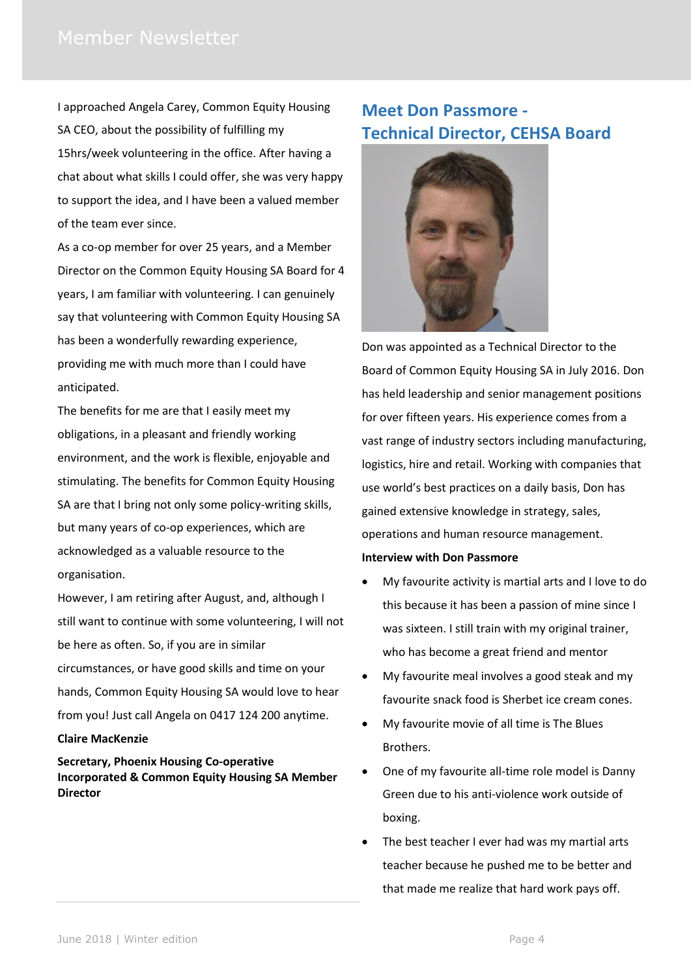I approached Angela Carey, Common Equity Housing SA CEO, about the possibility of fulfilling my 15hrs/week volunteering in the office. After having a chat about what skills I could offer, she was very happy to support the idea, and I have been a valued member of the team ever since.

As a co-op member for over 25 years, and a Member Director on the Common Equity Housing SA Board for 4 years, I am familiar with volunteering. I can genuinely say that volunteering with Common Equity Housing SA has been a wonderfully rewarding experience, providing me with much more than I could have anticipated.

The benefits for me are that I easily meet my obligations, in a pleasant and friendly working environment, and the work is flexible, enjoyable and stimulating. The benefits for Common Equity Housing SA are that I bring not only some policy-writing skills, but many years of co-op experiences, which are acknowledged as a valuable resource to the organisation.

However, I am retiring after August, and, although I still want to continue with some volunteering, I will not be here as often. So, if you are in similar circumstances, or have good skills and time on your hands, Common Equity Housing SA would love to hear from you! Just call Angela on 0417 124 200 anytime.

#### **Claire MacKenzie**

**Secretary, Phoenix Housing Co-operative Incorporated & Common Equity Housing SA Member Director**

## **Meet Don Passmore - Technical Director, CEHSA Board**



Don was appointed as a Technical Director to the Board of Common Equity Housing SA in July 2016. Don has held leadership and senior management positions for over fifteen years. His experience comes from a vast range of industry sectors including manufacturing, logistics, hire and retail. Working with companies that use world's best practices on a daily basis, Don has gained extensive knowledge in strategy, sales, operations and human resource management.

#### **Interview with Don Passmore**

- My favourite activity is martial arts and I love to do this because it has been a passion of mine since I was sixteen. I still train with my original trainer, who has become a great friend and mentor
- My favourite meal involves a good steak and my favourite snack food is Sherbet ice cream cones.
- My favourite movie of all time is The Blues Brothers.
- One of my favourite all-time role model is Danny Green due to his anti-violence work outside of boxing.
- The best teacher I ever had was my martial arts teacher because he pushed me to be better and that made me realize that hard work pays off.